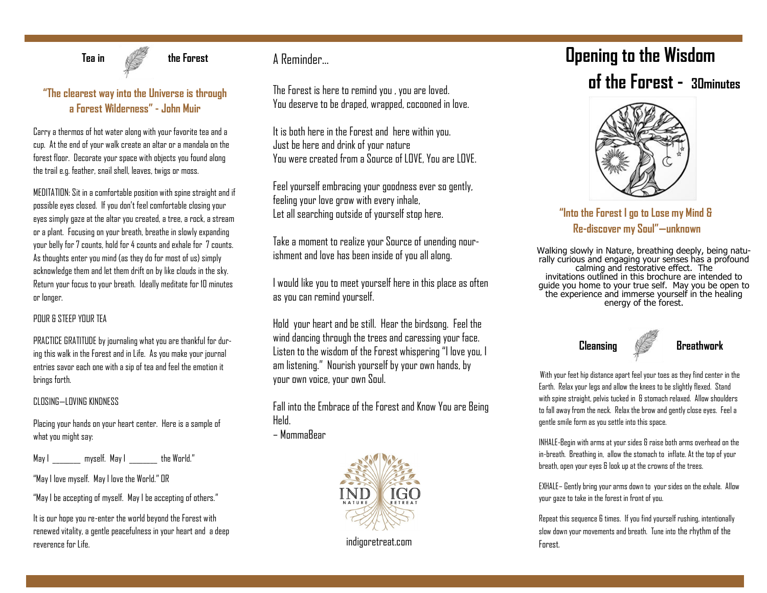

**Tea in the Forest** 

## **"The clearest way into the Universe is through a Forest Wilderness" - John Muir**

Carry a thermos of hot water along with your favorite tea and a cup. At the end of your walk create an altar or a mandala on the forest floor. Decorate your space with objects you found along the trail e.g. feather, snail shell, leaves, twigs or moss.

MEDITATION: Sit in a comfortable position with spine straight and if possible eyes closed. If you don't feel comfortable closing your eyes simply gaze at the altar you created, a tree, a rock, a stream or a plant. Focusing on your breath, breathe in slowly expanding your belly for 7 counts, hold for 4 counts and exhale for 7 counts. As thoughts enter you mind (as they do for most of us) simply acknowledge them and let them drift on by like clouds in the sky. Return your focus to your breath. Ideally meditate for 10 minutes or longer.

### POUR & STEEP YOUR TEA

PRACTICE GRATITUDE by journaling what you are thankful for during this walk in the Forest and in Life. As you make your journal entries savor each one with a sip of tea and feel the emotion it brings forth.

#### CLOSING—LOVING KINDNESS

Placing your hands on your heart center. Here is a sample of what you might say:

May I \_\_\_\_\_\_\_\_ myself. May I \_\_\_\_\_\_\_\_ the World."

"May I love myself. May I love the World." OR

"May I be accepting of myself. May I be accepting of others."

It is our hope you re-enter the world beyond the Forest with renewed vitality, a gentle peacefulness in your heart and a deep reverence for Life.

# A Reminder…

The Forest is here to remind you , you are loved. You deserve to be draped, wrapped, cocooned in love.

It is both here in the Forest and here within you. Just be here and drink of your nature You were created from a Source of LOVE, You are LOVE.

Feel yourself embracing your goodness ever so gently, feeling your love grow with every inhale, Let all searching outside of yourself stop here.

Take a moment to realize your Source of unending nourishment and love has been inside of you all along.

I would like you to meet yourself here in this place as often as you can remind yourself.

Hold your heart and be still. Hear the birdsong. Feel the wind dancing through the trees and caressing your face. Listen to the wisdom of the Forest whispering "I love you, I am listening." Nourish yourself by your own hands, by your own voice, your own Soul.

Fall into the Embrace of the Forest and Know You are Being Held.

– MommaBear



indigoretreat.com

# **Opening to the Wisdom of the Forest - 30minutes**



**"Into the Forest I go to Lose my Mind & Re-discover my Soul"—unknown** 

Walking slowly in Nature, breathing deeply, being naturally curious and engaging your senses has a profound calming and restorative effect. The invitations outlined in this brochure are intended to guide you home to your true self. May you be open to the experience and immerse yourself in the healing energy of the forest.



With your feet hip distance apart feel your toes as they find center in the Earth. Relax your legs and allow the knees to be slightly flexed. Stand with spine straight, pelvis tucked in & stomach relaxed. Allow shoulders to fall away from the neck. Relax the brow and gently close eyes. Feel a gentle smile form as you settle into this space.

INHALE-Begin with arms at your sides & raise both arms overhead on the in-breath. Breathing in, allow the stomach to inflate. At the top of your breath, open your eyes & look up at the crowns of the trees.

EXHALE– Gently bring your arms down to your sides on the exhale. Allow your gaze to take in the forest in front of you.

Repeat this sequence 6 times. If you find yourself rushing, intentionally slow down your movements and breath. Tune into the rhythm of the Forest.